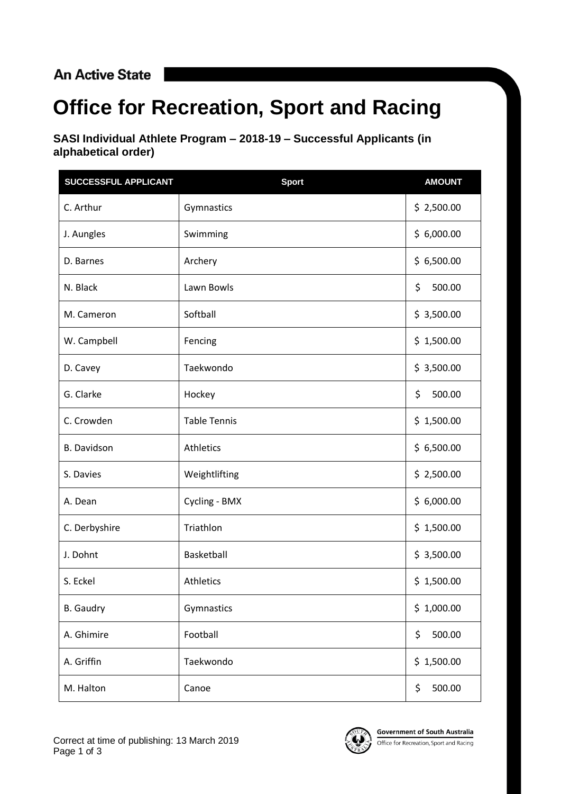## **An Active State**

## **Office for Recreation, Sport and Racing**

**SASI Individual Athlete Program – 2018-19 – Successful Applicants (in alphabetical order)**

| SUCCESSFUL APPLICANT | <b>Sport</b>        | <b>AMOUNT</b> |
|----------------------|---------------------|---------------|
| C. Arthur            | Gymnastics          | \$2,500.00    |
| J. Aungles           | Swimming            | \$6,000.00    |
| D. Barnes            | Archery             | \$6,500.00    |
| N. Black             | Lawn Bowls          | \$<br>500.00  |
| M. Cameron           | Softball            | \$3,500.00    |
| W. Campbell          | Fencing             | \$1,500.00    |
| D. Cavey             | Taekwondo           | \$3,500.00    |
| G. Clarke            | Hockey              | \$<br>500.00  |
| C. Crowden           | <b>Table Tennis</b> | \$1,500.00    |
| <b>B.</b> Davidson   | Athletics           | \$6,500.00    |
| S. Davies            | Weightlifting       | \$2,500.00    |
| A. Dean              | Cycling - BMX       | \$6,000.00    |
| C. Derbyshire        | Triathlon           | \$1,500.00    |
| J. Dohnt             | Basketball          | \$3,500.00    |
| S. Eckel             | Athletics           | \$1,500.00    |
| <b>B.</b> Gaudry     | Gymnastics          | \$1,000.00    |
| A. Ghimire           | Football            | \$<br>500.00  |
| A. Griffin           | Taekwondo           | \$1,500.00    |
| M. Halton            | Canoe               | 500.00<br>\$  |

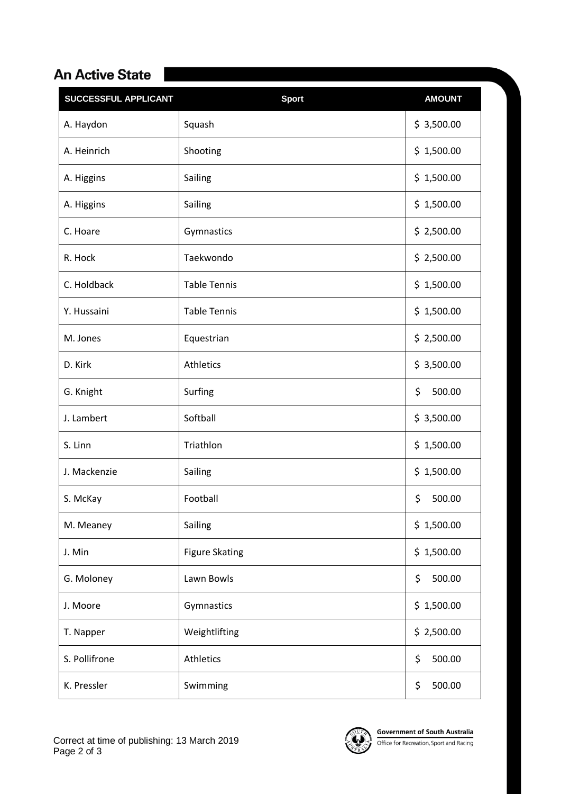## An Active State |

| <b>SUCCESSFUL APPLICANT</b> | <b>Sport</b>          | <b>AMOUNT</b> |
|-----------------------------|-----------------------|---------------|
| A. Haydon                   | Squash                | \$3,500.00    |
| A. Heinrich                 | Shooting              | \$1,500.00    |
| A. Higgins                  | Sailing               | \$1,500.00    |
| A. Higgins                  | Sailing               | \$1,500.00    |
| C. Hoare                    | Gymnastics            | \$2,500.00    |
| R. Hock                     | Taekwondo             | \$2,500.00    |
| C. Holdback                 | <b>Table Tennis</b>   | \$1,500.00    |
| Y. Hussaini                 | <b>Table Tennis</b>   | \$1,500.00    |
| M. Jones                    | Equestrian            | \$2,500.00    |
| D. Kirk                     | Athletics             | \$3,500.00    |
| G. Knight                   | Surfing               | \$<br>500.00  |
| J. Lambert                  | Softball              | \$3,500.00    |
| S. Linn                     | Triathlon             | \$1,500.00    |
| J. Mackenzie                | Sailing               | \$1,500.00    |
| S. McKay                    | Football              | \$<br>500.00  |
| M. Meaney                   | Sailing               | \$1,500.00    |
| J. Min                      | <b>Figure Skating</b> | \$1,500.00    |
| G. Moloney                  | Lawn Bowls            | \$<br>500.00  |
| J. Moore                    | Gymnastics            | \$1,500.00    |
| T. Napper                   | Weightlifting         | \$2,500.00    |
| S. Pollifrone               | Athletics             | \$<br>500.00  |
| K. Pressler                 | Swimming              | \$<br>500.00  |